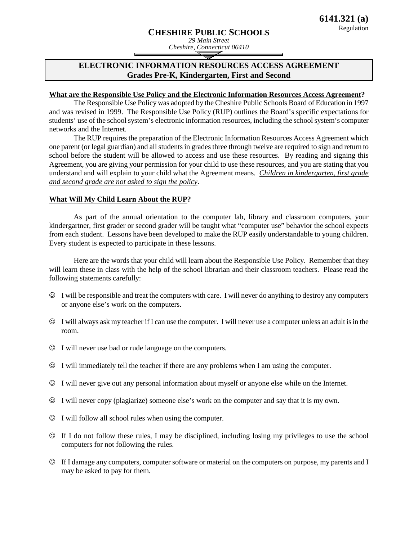# **CHESHIRE PUBLIC SCHOOLS**

# **ELECTRONIC INFORMATION RESOURCES ACCESS AGREEMENT Grades Pre-K, Kindergarten, First and Second**

### **What are the Responsible Use Policy and the Electronic Information Resources Access Agreement ?**

The Responsible Use Policy was adopted by the Cheshire Public Schools Board of Education in 1997 and was revised in 1999. The Responsible Use Policy (RUP) outlines the Board's specific expectations for students' use of the school system's electronic information resources, including the school system's computer networks and the Internet.

The RUP requires the preparation of the Electronic Information Resources Access Agreement which one parent (or legal guardian) and all students in grades three through twelve are required to sign and return to school before the student will be allowed to access and use these resources. By reading and signing this Agreement, you are giving your permission for your child to use these resources, and you are stating that you understand and will explain to your child what the Agreement means*. Children in kindergarten, first grade and second grade are not asked to sign the policy*.

#### **What Will My Child Learn About the RUP?**

As part of the annual orientation to the computer lab, library and classroom computers, your kindergartner, first grader or second grader will be taught what "computer use" behavior the school expects from each student. Lessons have been developed to make the RUP easily understandable to young children. Every student is expected to participate in these lessons.

Here are the words that your child will learn about the Responsible Use Policy. Remember that they will learn these in class with the help of the school librarian and their classroom teachers. Please read the following statements carefully:

- I will be responsible and treat the computers with care. I will never do anything to destroy any computers or anyone else's work on the computers.
- $\odot$  I will always ask my teacher if I can use the computer. I will never use a computer unless an adult is in the room.
- I will never use bad or rude language on the computers.
- I will immediately tell the teacher if there are any problems when I am using the computer.
- I will never give out any personal information about myself or anyone else while on the Internet.
- I will never copy (plagiarize) someone else's work on the computer and say that it is my own.
- $\odot$  I will follow all school rules when using the computer.
- $\heartsuit$  If I do not follow these rules, I may be disciplined, including losing my privileges to use the school computers for not following the rules.
- If I damage any computers, computer software or material on the computers on purpose, my parents and I may be asked to pay for them.